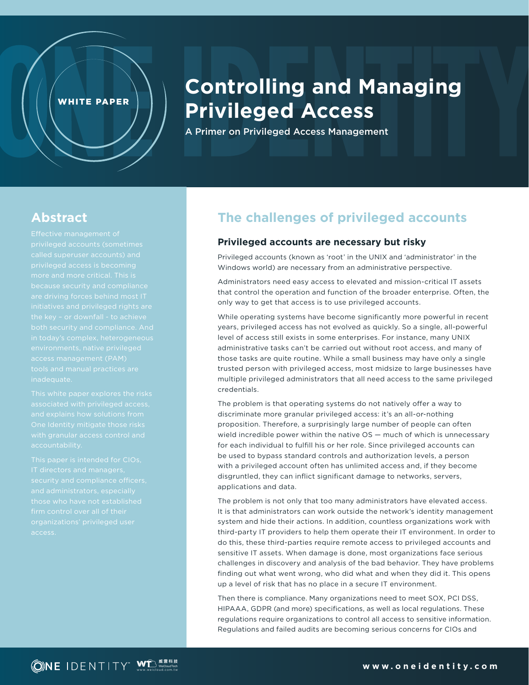# **Controlling and Managing Privileged Access**

A Primer on Privileged Access Management

# **Abstract**

privileged accounts (sometimes

WHITE PAPER

accountability.

## **The challenges of privileged accounts**

#### **Privileged accounts are necessary but risky**

Privileged accounts (known as 'root' in the UNIX and 'administrator' in the Windows world) are necessary from an administrative perspective.

Administrators need easy access to elevated and mission-critical IT assets that control the operation and function of the broader enterprise. Often, the only way to get that access is to use privileged accounts.

While operating systems have become significantly more powerful in recent years, privileged access has not evolved as quickly. So a single, all-powerful level of access still exists in some enterprises. For instance, many UNIX administrative tasks can't be carried out without root access, and many of those tasks are quite routine. While a small business may have only a single trusted person with privileged access, most midsize to large businesses have multiple privileged administrators that all need access to the same privileged credentials.

The problem is that operating systems do not natively offer a way to discriminate more granular privileged access: it's an all-or-nothing proposition. Therefore, a surprisingly large number of people can often wield incredible power within the native OS — much of which is unnecessary for each individual to fulfill his or her role. Since privileged accounts can be used to bypass standard controls and authorization levels, a person with a privileged account often has unlimited access and, if they become disgruntled, they can inflict significant damage to networks, servers, applications and data.

The problem is not only that too many administrators have elevated access. It is that administrators can work outside the network's identity management system and hide their actions. In addition, countless organizations work with third-party IT providers to help them operate their IT environment. In order to do this, these third-parties require remote access to privileged accounts and sensitive IT assets. When damage is done, most organizations face serious challenges in discovery and analysis of the bad behavior. They have problems finding out what went wrong, who did what and when they did it. This opens up a level of risk that has no place in a secure IT environment.

Then there is compliance. Many organizations need to meet SOX, PCI DSS, HIPAAA, GDPR (and more) specifications, as well as local regulations. These regulations require organizations to control all access to sensitive information. Regulations and failed audits are becoming serious concerns for CIOs and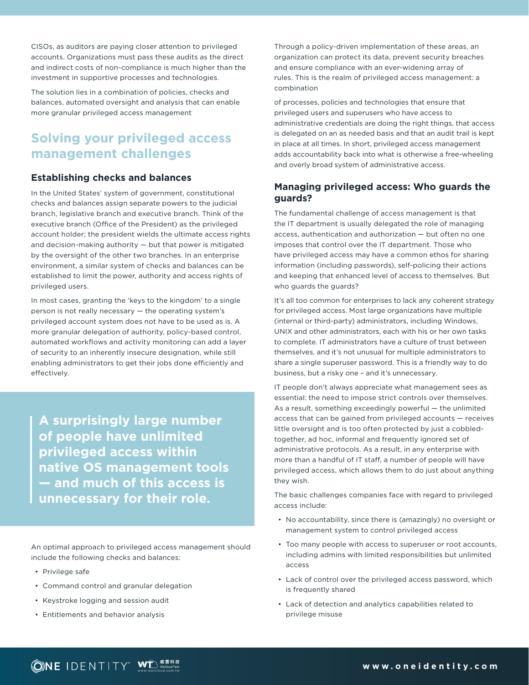CISOs, as auditors are paying closer attention to privileged accounts. Organizations must pass these audits as the direct and indirect costs of non-compliance is much higher than the investment in supportive processes and technologies.

The solution lies in a combination of policies, checks and balances, automated oversight and analysis that can enable more granular privileged access management

# **Solving your privileged access management challenges**

#### **Establishing checks and balances**

In the United States' system of government, constitutional checks and balances assign separate powers to the judicial branch, legislative branch and executive branch. Think of the executive branch (Office of the President) as the privileged account holder; the president wields the ultimate access rights and decision-making authority — but that power is mitigated by the oversight of the other two branches. In an enterprise environment, a similar system of checks and balances can be established to limit the power, authority and access rights of privileged users.

In most cases, granting the 'keys to the kingdom' to a single person is not really necessary — the operating system's privileged account system does not have to be used as is. A more granular delegation of authority, policy-based control, automated workflows and activity monitoring can add a layer of security to an inherently insecure designation, while still enabling administrators to get their jobs done efficiently and effectively.

**A surprisingly large number of people have unlimited privileged access within native OS management tools — and much of this access is unnecessary for their role.**

An optimal approach to privileged access management should include the following checks and balances:

- Privilege safe
- Command control and granular delegation
- Keystroke logging and session audit
- Entitlements and behavior analysis

Through a policy-driven implementation of these areas, an organization can protect its data, prevent security breaches and ensure compliance with an ever-widening array of rules. This is the realm of privileged access management: a combination

of processes, policies and technologies that ensure that privileged users and superusers who have access to administrative credentials are doing the right things, that access is delegated on an as needed basis and that an audit trail is kept in place at all times. In short, privileged access management adds accountability back into what is otherwise a free-wheeling and overly broad system of administrative access.

#### **Managing privileged access: Who guards the guards?**

The fundamental challenge of access management is that the IT department is usually delegated the role of managing access, authentication and authorization — but often no one imposes that control over the IT department. Those who have privileged access may have a common ethos for sharing information (including passwords), self-policing their actions and keeping that enhanced level of access to themselves. But who guards the guards?

It's all too common for enterprises to lack any coherent strategy for privileged access. Most large organizations have multiple (internal or third-party) administrators, including Windows, UNIX and other administrators, each with his or her own tasks to complete. IT administrators have a culture of trust between themselves, and it's not unusual for multiple administrators to share a single superuser password. This is a friendly way to do business, but a risky one – and it's unnecessary.

IT people don't always appreciate what management sees as essential: the need to impose strict controls over themselves. As a result, something exceedingly powerful  $-$  the unlimited access that can be gained from privileged accounts — receives little oversight and is too often protected by just a cobbledtogether, ad hoc, informal and frequently ignored set of administrative protocols. As a result, in any enterprise with more than a handful of IT staff, a number of people will have privileged access, which allows them to do just about anything they wish.

The basic challenges companies face with regard to privileged access include:

- No accountability, since there is (amazingly) no oversight or management system to control privileged access
- Too many people with access to superuser or root accounts, including admins with limited responsibilities but unlimited access
- Lack of control over the privileged access password, which is frequently shared
- Lack of detection and analytics capabilities related to privilege misuse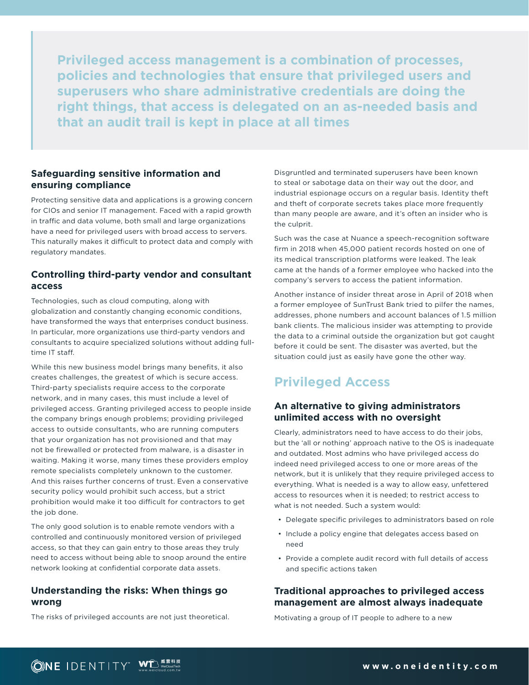**Privileged access management is a combination of processes, policies and technologies that ensure that privileged users and superusers who share administrative credentials are doing the right things, that access is delegated on an as-needed basis and that an audit trail is kept in place at all times**

#### **Safeguarding sensitive information and ensuring compliance**

Protecting sensitive data and applications is a growing concern for CIOs and senior IT management. Faced with a rapid growth in traffic and data volume, both small and large organizations have a need for privileged users with broad access to servers. This naturally makes it difficult to protect data and comply with regulatory mandates.

#### **Controlling third-party vendor and consultant access**

Technologies, such as cloud computing, along with globalization and constantly changing economic conditions, have transformed the ways that enterprises conduct business. In particular, more organizations use third-party vendors and consultants to acquire specialized solutions without adding fulltime IT staff.

While this new business model brings many benefits, it also creates challenges, the greatest of which is secure access. Third-party specialists require access to the corporate network, and in many cases, this must include a level of privileged access. Granting privileged access to people inside the company brings enough problems; providing privileged access to outside consultants, who are running computers that your organization has not provisioned and that may not be firewalled or protected from malware, is a disaster in waiting. Making it worse, many times these providers employ remote specialists completely unknown to the customer. And this raises further concerns of trust. Even a conservative security policy would prohibit such access, but a strict prohibition would make it too difficult for contractors to get the job done.

The only good solution is to enable remote vendors with a controlled and continuously monitored version of privileged access, so that they can gain entry to those areas they truly need to access without being able to snoop around the entire network looking at confidential corporate data assets.

#### **Understanding the risks: When things go wrong**

The risks of privileged accounts are not just theoretical.

Disgruntled and terminated superusers have been known to steal or sabotage data on their way out the door, and industrial espionage occurs on a regular basis. Identity theft and theft of corporate secrets takes place more frequently than many people are aware, and it's often an insider who is the culprit.

Such was the case at Nuance a speech-recognition software firm in 2018 when 45,000 patient records hosted on one of its medical transcription platforms were leaked. The leak came at the hands of a former employee who hacked into the company's servers to access the patient information.

Another instance of insider threat arose in April of 2018 when a former employee of SunTrust Bank tried to pilfer the names, addresses, phone numbers and account balances of 1.5 million bank clients. The malicious insider was attempting to provide the data to a criminal outside the organization but got caught before it could be sent. The disaster was averted, but the situation could just as easily have gone the other way.

# **Privileged Access**

#### **An alternative to giving administrators unlimited access with no oversight**

Clearly, administrators need to have access to do their jobs, but the 'all or nothing' approach native to the OS is inadequate and outdated. Most admins who have privileged access do indeed need privileged access to one or more areas of the network, but it is unlikely that they require privileged access to everything. What is needed is a way to allow easy, unfettered access to resources when it is needed; to restrict access to what is not needed. Such a system would:

- Delegate specific privileges to administrators based on role
- Include a policy engine that delegates access based on need
- Provide a complete audit record with full details of access and specific actions taken

#### **Traditional approaches to privileged access management are almost always inadequate**

Motivating a group of IT people to adhere to a new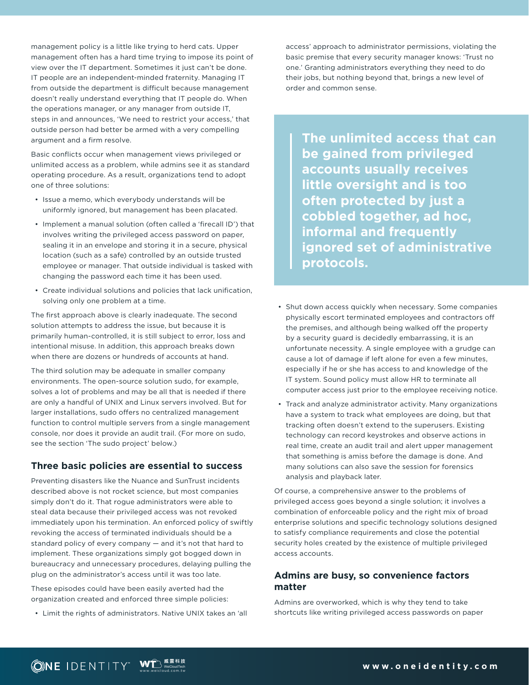management policy is a little like trying to herd cats. Upper management often has a hard time trying to impose its point of view over the IT department. Sometimes it just can't be done. IT people are an independent-minded fraternity. Managing IT from outside the department is difficult because management doesn't really understand everything that IT people do. When the operations manager, or any manager from outside IT, steps in and announces, 'We need to restrict your access,' that outside person had better be armed with a very compelling argument and a firm resolve.

Basic conflicts occur when management views privileged or unlimited access as a problem, while admins see it as standard operating procedure. As a result, organizations tend to adopt one of three solutions:

- Issue a memo, which everybody understands will be uniformly ignored, but management has been placated.
- Implement a manual solution (often called a 'firecall ID') that involves writing the privileged access password on paper, sealing it in an envelope and storing it in a secure, physical location (such as a safe) controlled by an outside trusted employee or manager. That outside individual is tasked with changing the password each time it has been used.
- Create individual solutions and policies that lack unification, solving only one problem at a time.

The first approach above is clearly inadequate. The second solution attempts to address the issue, but because it is primarily human-controlled, it is still subject to error, loss and intentional misuse. In addition, this approach breaks down when there are dozens or hundreds of accounts at hand.

The third solution may be adequate in smaller company environments. The open-source solution sudo, for example, solves a lot of problems and may be all that is needed if there are only a handful of UNIX and Linux servers involved. But for larger installations, sudo offers no centralized management function to control multiple servers from a single management console, nor does it provide an audit trail. (For more on sudo, see the section 'The sudo project' below.)

#### **Three basic policies are essential to success**

Preventing disasters like the Nuance and SunTrust incidents described above is not rocket science, but most companies simply don't do it. That rogue administrators were able to steal data because their privileged access was not revoked immediately upon his termination. An enforced policy of swiftly revoking the access of terminated individuals should be a standard policy of every company — and it's not that hard to implement. These organizations simply got bogged down in bureaucracy and unnecessary procedures, delaying pulling the plug on the administrator's access until it was too late.

These episodes could have been easily averted had the organization created and enforced three simple policies:

• Limit the rights of administrators. Native UNIX takes an 'all

access' approach to administrator permissions, violating the basic premise that every security manager knows: 'Trust no one.' Granting administrators everything they need to do their jobs, but nothing beyond that, brings a new level of order and common sense.

**The unlimited access that can be gained from privileged accounts usually receives little oversight and is too often protected by just a cobbled together, ad hoc, informal and frequently ignored set of administrative protocols.**

- Shut down access quickly when necessary. Some companies physically escort terminated employees and contractors off the premises, and although being walked off the property by a security guard is decidedly embarrassing, it is an unfortunate necessity. A single employee with a grudge can cause a lot of damage if left alone for even a few minutes, especially if he or she has access to and knowledge of the IT system. Sound policy must allow HR to terminate all computer access just prior to the employee receiving notice.
- Track and analyze administrator activity. Many organizations have a system to track what employees are doing, but that tracking often doesn't extend to the superusers. Existing technology can record keystrokes and observe actions in real time, create an audit trail and alert upper management that something is amiss before the damage is done. And many solutions can also save the session for forensics analysis and playback later.

Of course, a comprehensive answer to the problems of privileged access goes beyond a single solution; it involves a combination of enforceable policy and the right mix of broad enterprise solutions and specific technology solutions designed to satisfy compliance requirements and close the potential security holes created by the existence of multiple privileged access accounts.

#### **Admins are busy, so convenience factors matter**

Admins are overworked, which is why they tend to take shortcuts like writing privileged access passwords on paper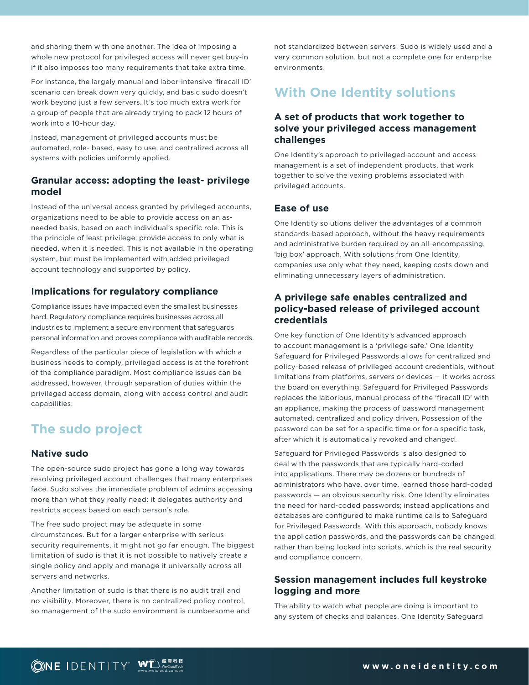and sharing them with one another. The idea of imposing a whole new protocol for privileged access will never get buy-in if it also imposes too many requirements that take extra time.

For instance, the largely manual and labor-intensive 'firecall ID' scenario can break down very quickly, and basic sudo doesn't work beyond just a few servers. It's too much extra work for a group of people that are already trying to pack 12 hours of work into a 10-hour day.

Instead, management of privileged accounts must be automated, role- based, easy to use, and centralized across all systems with policies uniformly applied.

#### **Granular access: adopting the least- privilege model**

Instead of the universal access granted by privileged accounts, organizations need to be able to provide access on an asneeded basis, based on each individual's specific role. This is the principle of least privilege: provide access to only what is needed, when it is needed. This is not available in the operating system, but must be implemented with added privileged account technology and supported by policy.

#### **Implications for regulatory compliance**

Compliance issues have impacted even the smallest businesses hard. Regulatory compliance requires businesses across all industries to implement a secure environment that safeguards personal information and proves compliance with auditable records.

Regardless of the particular piece of legislation with which a business needs to comply, privileged access is at the forefront of the compliance paradigm. Most compliance issues can be addressed, however, through separation of duties within the privileged access domain, along with access control and audit capabilities.

# **The sudo project**

#### **Native sudo**

The open-source sudo project has gone a long way towards resolving privileged account challenges that many enterprises face. Sudo solves the immediate problem of admins accessing more than what they really need: it delegates authority and restricts access based on each person's role.

The free sudo project may be adequate in some circumstances. But for a larger enterprise with serious security requirements, it might not go far enough. The biggest limitation of sudo is that it is not possible to natively create a single policy and apply and manage it universally across all servers and networks.

Another limitation of sudo is that there is no audit trail and no visibility. Moreover, there is no centralized policy control, so management of the sudo environment is cumbersome and not standardized between servers. Sudo is widely used and a very common solution, but not a complete one for enterprise environments.

# **With One Identity solutions**

#### **A set of products that work together to solve your privileged access management challenges**

One Identity's approach to privileged account and access management is a set of independent products, that work together to solve the vexing problems associated with privileged accounts.

#### **Ease of use**

One Identity solutions deliver the advantages of a common standards-based approach, without the heavy requirements and administrative burden required by an all-encompassing, 'big box' approach. With solutions from One Identity, companies use only what they need, keeping costs down and eliminating unnecessary layers of administration.

#### **A privilege safe enables centralized and policy-based release of privileged account credentials**

One key function of One Identity's advanced approach to account management is a 'privilege safe.' One Identity Safeguard for Privileged Passwords allows for centralized and policy-based release of privileged account credentials, without limitations from platforms, servers or devices — it works across the board on everything. Safeguard for Privileged Passwords replaces the laborious, manual process of the 'firecall ID' with an appliance, making the process of password management automated, centralized and policy driven. Possession of the password can be set for a specific time or for a specific task, after which it is automatically revoked and changed.

Safeguard for Privileged Passwords is also designed to deal with the passwords that are typically hard-coded into applications. There may be dozens or hundreds of administrators who have, over time, learned those hard-coded passwords — an obvious security risk. One Identity eliminates the need for hard-coded passwords; instead applications and databases are configured to make runtime calls to Safeguard for Privileged Passwords. With this approach, nobody knows the application passwords, and the passwords can be changed rather than being locked into scripts, which is the real security and compliance concern.

#### **Session management includes full keystroke logging and more**

The ability to watch what people are doing is important to any system of checks and balances. One Identity Safeguard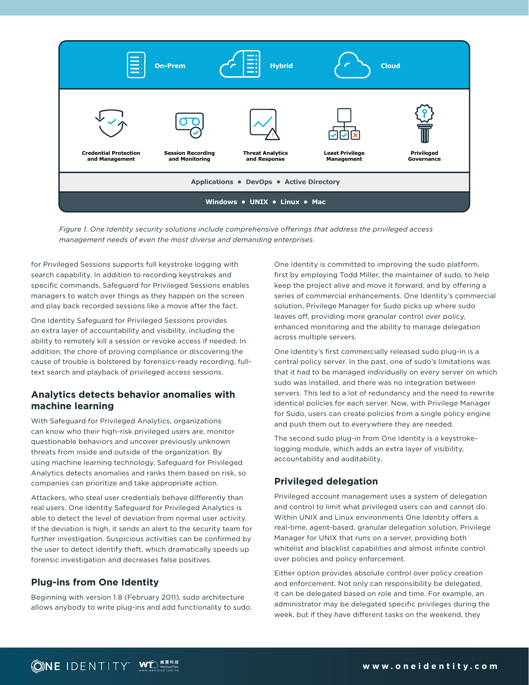

*Figure 1. One Identity security solutions include comprehensive offerings that address the privileged access management needs of even the most diverse and demanding enterprises.*

for Privileged Sessions supports full keystroke logging with search capability. In addition to recording keystrokes and specific commands, Safeguard for Privileged Sessions enables managers to watch over things as they happen on the screen and play back recorded sessions like a movie after the fact.

One Identity Safeguard for Privileged Sessions provides an extra layer of accountability and visibility, including the ability to remotely kill a session or revoke access if needed. In addition, the chore of proving compliance or discovering the cause of trouble is bolstered by forensics-ready recording, fulltext search and playback of privileged access sessions.

#### **Analytics detects behavior anomalies with machine learning**

With Safeguard for Privileged Analytics, organizations can know who their high-risk privileged users are, monitor questionable behaviors and uncover previously unknown threats from inside and outside of the organization. By using machine learning technology, Safeguard for Privileged Analytics detects anomalies and ranks them based on risk, so companies can prioritize and take appropriate action.

Attackers, who steal user credentials behave differently than real users. One Identity Safeguard for Privileged Analytics is able to detect the level of deviation from normal user activity. If the deviation is high, it sends an alert to the security team for further investigation. Suspicious activities can be confirmed by the user to detect identify theft, which dramatically speeds up forensic investigation and decreases false positives.

#### **Plug-ins from One Identity**

Beginning with version 1.8 (February 2011), sudo architecture allows anybody to write plug-ins and add functionality to sudo.

One Identity is committed to improving the sudo platform, first by employing Todd Miller, the maintainer of sudo, to help keep the project alive and move it forward, and by offering a series of commercial enhancements. One Identity's commercial solution, Privilege Manager for Sudo picks up where sudo leaves off, providing more granular control over policy, enhanced monitoring and the ability to manage delegation across multiple servers.

One Identity's first commercially released sudo plug-in is a central policy server. In the past, one of sudo's limitations was that it had to be managed individually on every server on which sudo was installed, and there was no integration between servers. This led to a lot of redundancy and the need to rewrite identical policies for each server. Now, with Privilege Manager for Sudo, users can create policies from a single policy engine and push them out to everywhere they are needed.

The second sudo plug-in from One Identity is a keystrokelogging module, which adds an extra layer of visibility, accountability and auditability.

#### **Privileged delegation**

Privileged account management uses a system of delegation and control to limit what privileged users can and cannot do. Within UNIX and Linux environments One Identity offers a real-time, agent-based, granular delegation solution, Privilege Manager for UNIX that runs on a server, providing both whitelist and blacklist capabilities and almost infinite control over policies and policy enforcement.

Either option provides absolute control over policy creation and enforcement. Not only can responsibility be delegated, it can be delegated based on role and time. For example, an administrator may be delegated specific privileges during the week, but if they have different tasks on the weekend, they